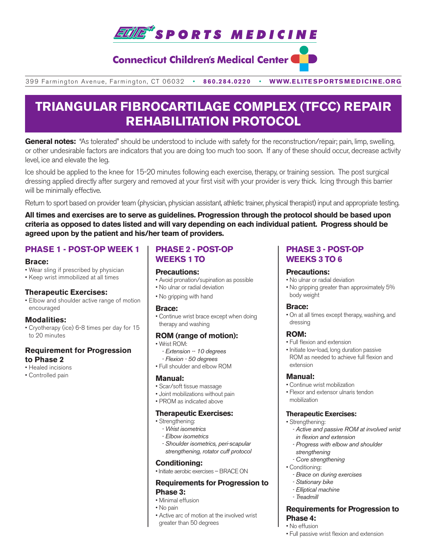

# **Connecticut Children's Medical Center C**

399 Farmington Avenue, Farmington, CT 06032•**860.284.0220**•**WWW.ELITESPORTSMEDICINE.ORG**

# **TRIANGULAR FIBROCARTILAGE COMPLEX (TFCC) REPAIR REHABILITATION PROTOCOL**

General notes: "As tolerated" should be understood to include with safety for the reconstruction/repair; pain, limp, swelling, or other undesirable factors are indicators that you are doing too much too soon. If any of these should occur, decrease activity level, ice and elevate the leg.

Ice should be applied to the knee for 15-20 minutes following each exercise, therapy, or training session. The post surgical dressing applied directly after surgery and removed at your first visit with your provider is very thick. Icing through this barrier will be minimally effective.

Return to sport based on provider team (physician, physician assistant, athletic trainer, physical therapist) input and appropriate testing.

**All times and exercises are to serve as guidelines. Progression through the protocol should be based upon criteria as opposed to dates listed and will vary depending on each individual patient. Progress should be agreed upon by the patient and his/her team of providers.** 

## **PHASE 1 - POST-OP WEEK 1**

#### **Brace:**

- Wear sling if prescribed by physician
- Keep wrist immobilized at all times

#### **Therapeutic Exercises:**

• Elbow and shoulder active range of motion encouraged

#### **Modalities:**

• Cryotherapy (ice) 6-8 times per day for 15 to 20 minutes

#### **Requirement for Progression to Phase 2**

- Healed incisions
- Controlled pain

# **PHASE 2 - POST-OP WEEKS 1 TO**

#### **Precautions:**

- Avoid pronation/supination as possible
- No ulnar or radial deviation
- No gripping with hand

#### **Brace:**

• Continue wrist brace except when doing therapy and washing

#### **ROM (range of motion):**

- Wrist ROM: *- Extension -- 10 degrees - Flexion - 50 degrees*
- Full shoulder and elbow ROM

#### **Manual:**

- Scar/soft tissue massage
- Joint mobilizations without pain
- PROM as indicated above

#### **Therapeutic Exercises:**

- Strengthening:
	- *Wrist isometrics*
	- *Elbow isometrics*
	- *Shoulder isometrics, peri-scapular strengthening, rotator cuff protocol*

#### **Conditioning:**

• Initiate aerobic exercises – BRACE ON

#### **Requirements for Progression to Phase 3:**

#### • Minimal effusion

- No pain
- Active arc of motion at the involved wrist greater than 50 degrees

## **PHASE 3 - POST-OP WEEKS 3 TO 6**

#### **Precautions:**

- No ulnar or radial deviation
- No gripping greater than approximately 5% body weight

#### **Brace:**

• On at all times except therapy, washing, and dressing

#### **ROM:**

- Full flexion and extension
- Initiate low-load, long duration passive ROM as needed to achieve full flexion and extension

#### **Manual:**

- Continue wrist mobilization
- Flexor and extensor ulnaris tendon mobilization

#### **Therapeutic Exercises:**

- Strengthening:
	- *Active and passive ROM at involved wrist in flexion and extension*
	- *Progress with elbow and shoulder strengthening*
	- *Core strengthening*
- Conditioning:
	- *Brace on during exercises*
	- *Stationary bike*
	- *Elliptical machine*
	- *Treadmill*

#### **Requirements for Progression to Phase 4:**

- No effusion
- Full passive wrist flexion and extension